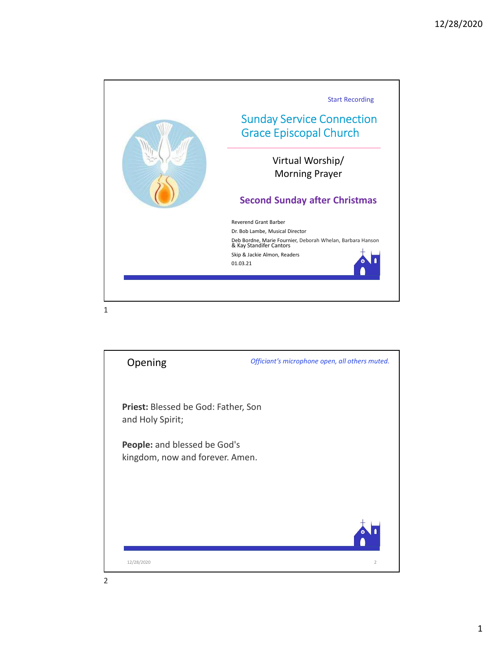

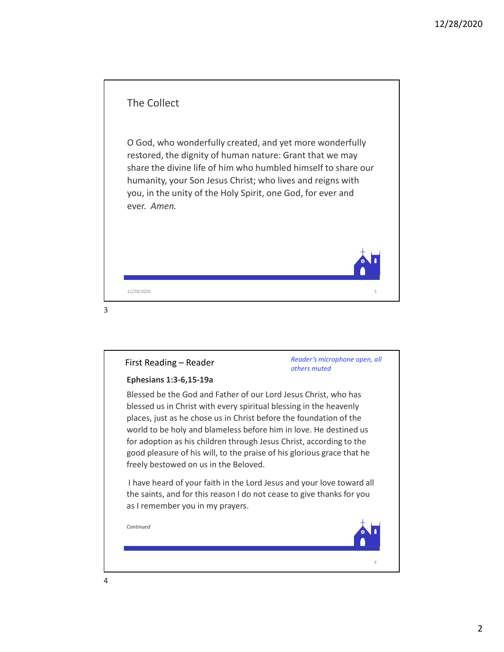

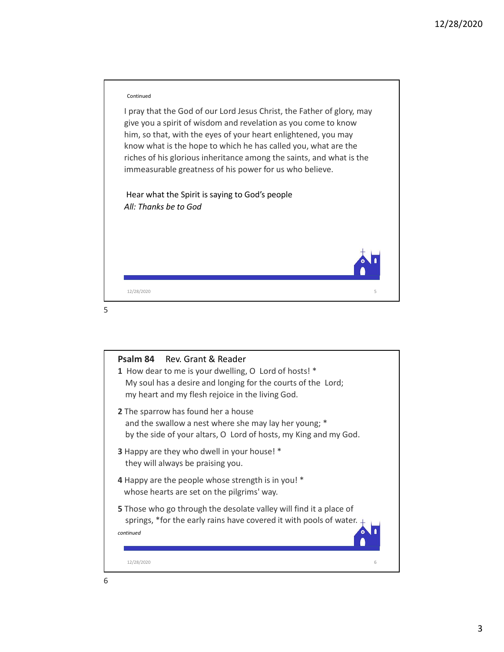



6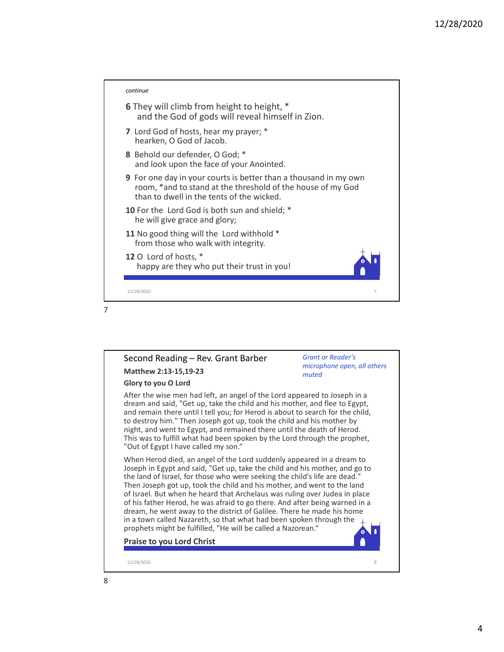

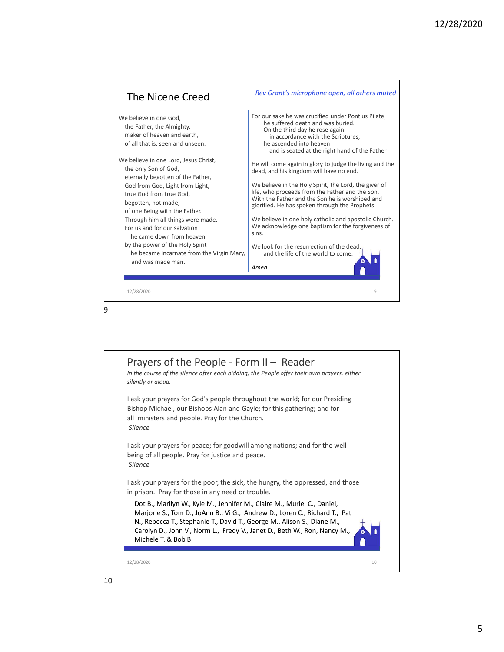



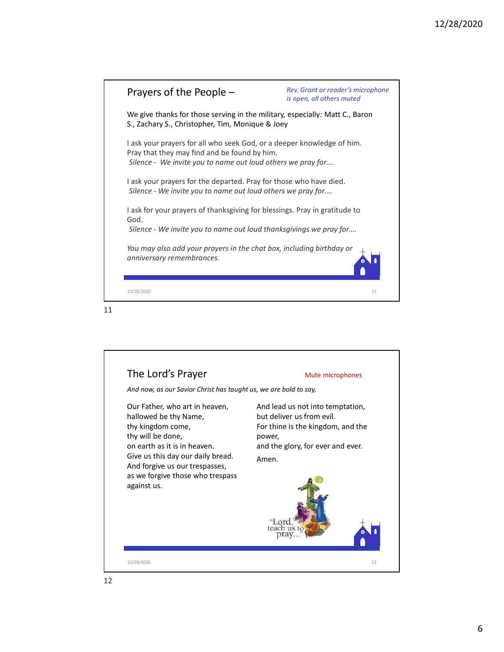|              |                                                                                                                                                                                       | Rev. Grant or reader's microphone |
|--------------|---------------------------------------------------------------------------------------------------------------------------------------------------------------------------------------|-----------------------------------|
|              | Prayers of the People -                                                                                                                                                               | is open, all others muted         |
|              | We give thanks for those serving in the military, especially: Matt C., Baron<br>S., Zachary S., Christopher, Tim, Monique & Joey                                                      |                                   |
|              | I ask your prayers for all who seek God, or a deeper knowledge of him.<br>Pray that they may find and be found by him.<br>Silence - We invite you to name out loud others we pray for |                                   |
|              | I ask your prayers for the departed. Pray for those who have died.<br>Silence - We invite you to name out loud others we pray for                                                     |                                   |
|              | I ask for your prayers of thanksgiving for blessings. Pray in gratitude to<br>God.                                                                                                    |                                   |
|              | Silence - We invite you to name out loud thanksgivings we pray for                                                                                                                    |                                   |
|              | You may also add your prayers in the chat box, including birthday or<br>anniversary remembrances.                                                                                     |                                   |
|              | 12/28/2020                                                                                                                                                                            | 11                                |
| $\mathbf{1}$ |                                                                                                                                                                                       |                                   |